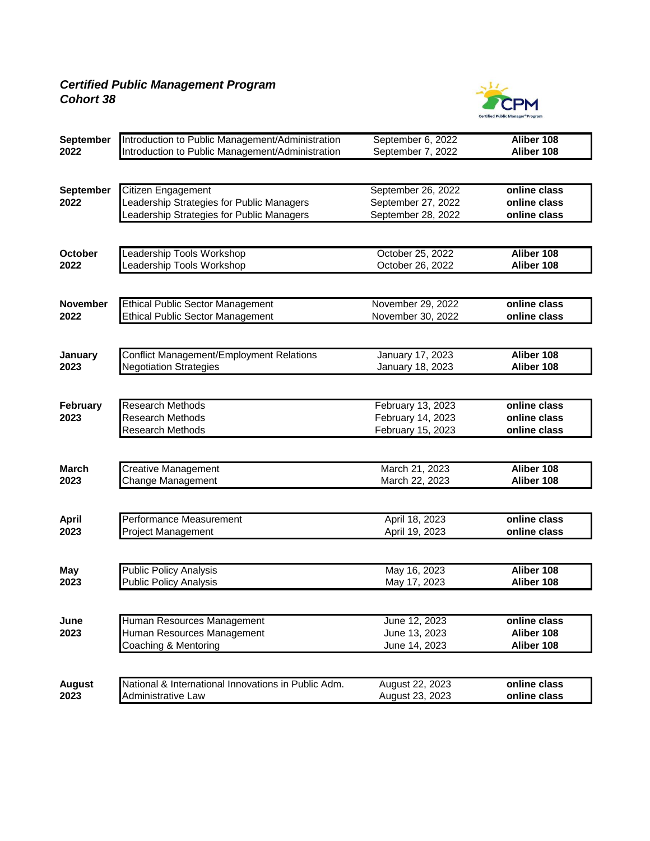## *Certified Public Management Program Cohort 38*



| September       | Introduction to Public Management/Administration    | September 6, 2022  | Aliber 108               |
|-----------------|-----------------------------------------------------|--------------------|--------------------------|
| 2022            | Introduction to Public Management/Administration    | September 7, 2022  | Aliber 108               |
|                 |                                                     |                    |                          |
| September       | Citizen Engagement                                  | September 26, 2022 | online class             |
| 2022            | Leadership Strategies for Public Managers           | September 27, 2022 | online class             |
|                 | Leadership Strategies for Public Managers           | September 28, 2022 | online class             |
|                 |                                                     |                    |                          |
| <b>October</b>  | <b>Leadership Tools Workshop</b>                    | October 25, 2022   | Aliber 108               |
| 2022            | Leadership Tools Workshop                           | October 26, 2022   | Aliber 108               |
|                 |                                                     |                    |                          |
| <b>November</b> | <b>Ethical Public Sector Management</b>             | November 29, 2022  | online class             |
| 2022            | <b>Ethical Public Sector Management</b>             | November 30, 2022  | online class             |
|                 |                                                     |                    |                          |
| January         | <b>Conflict Management/Employment Relations</b>     | January 17, 2023   | Aliber 108               |
| 2023            | <b>Negotiation Strategies</b>                       | January 18, 2023   | Aliber 108               |
|                 |                                                     |                    |                          |
| February        | <b>Research Methods</b>                             | February 13, 2023  | online class             |
| 2023            | <b>Research Methods</b>                             | February 14, 2023  | online class             |
|                 | <b>Research Methods</b>                             | February 15, 2023  | online class             |
|                 |                                                     |                    |                          |
| <b>March</b>    | <b>Creative Management</b>                          | March 21, 2023     | Aliber 108               |
| 2023            | Change Management                                   | March 22, 2023     | Aliber 108               |
|                 |                                                     |                    |                          |
| <b>April</b>    | Performance Measurement                             | April 18, 2023     | online class             |
| 2023            | <b>Project Management</b>                           | April 19, 2023     | online class             |
|                 |                                                     |                    |                          |
| <b>May</b>      | <b>Public Policy Analysis</b>                       | May 16, 2023       | Aliber 108<br>Aliber 108 |
| 2023            | <b>Public Policy Analysis</b>                       | May 17, 2023       |                          |
| June            | Human Resources Management                          | June 12, 2023      | online class             |
| 2023            | Human Resources Management                          | June 13, 2023      | Aliber 108               |
|                 | Coaching & Mentoring                                | June 14, 2023      | Aliber 108               |
|                 |                                                     |                    |                          |
| <b>August</b>   | National & International Innovations in Public Adm. | August 22, 2023    | online class             |
| 2023            | <b>Administrative Law</b>                           | August 23, 2023    | online class             |